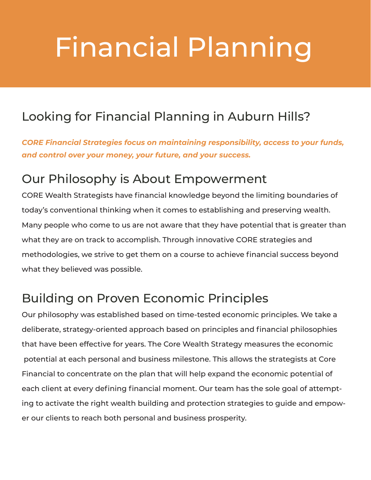# Financial Planning

### Looking for Financial Planning in Auburn Hills?

*CORE Financial Strategies focus on maintaining responsibility, access to your funds, and control over your money, your future, and your success.*

#### Our Philosophy is About Empowerment

CORE Wealth Strategists have financial knowledge beyond the limiting boundaries of today's conventional thinking when it comes to establishing and preserving wealth. Many people who come to us are not aware that they have potential that is greater than what they are on track to accomplish. Through innovative CORE strategies and methodologies, we strive to get them on a course to achieve financial success beyond what they believed was possible.

#### Building on Proven Economic Principles

Our philosophy was established based on time-tested economic principles. We take a deliberate, strategy-oriented approach based on principles and financial philosophies that have been effective for years. The Core Wealth Strategy measures the economic potential at each personal and business milestone. This allows the strategists at Core Financial to concentrate on the plan that will help expand the economic potential of each client at every defining financial moment. Our team has the sole goal of attempting to activate the right wealth building and protection strategies to guide and empower our clients to reach both personal and business prosperity.